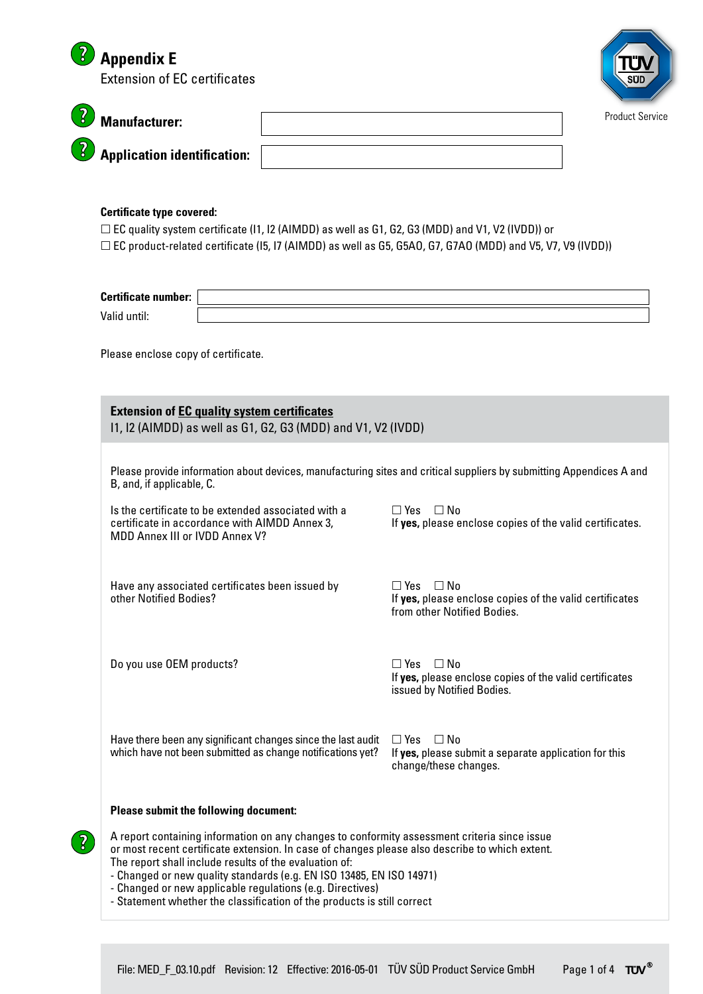|                                                                           | <b>Appendix E</b><br><b>Extension of EC certificates</b>                                                                                                                                                                                                                                                                                                                                      |  |                                                                                                                |                 |  |  |  |
|---------------------------------------------------------------------------|-----------------------------------------------------------------------------------------------------------------------------------------------------------------------------------------------------------------------------------------------------------------------------------------------------------------------------------------------------------------------------------------------|--|----------------------------------------------------------------------------------------------------------------|-----------------|--|--|--|
|                                                                           | <b>Manufacturer:</b>                                                                                                                                                                                                                                                                                                                                                                          |  |                                                                                                                | Product Service |  |  |  |
|                                                                           | <b>Application identification:</b>                                                                                                                                                                                                                                                                                                                                                            |  |                                                                                                                |                 |  |  |  |
|                                                                           | <b>Certificate type covered:</b><br>$\Box$ EC quality system certificate (I1, I2 (AIMDD) as well as G1, G2, G3 (MDD) and V1, V2 (IVDD)) or<br>$\Box$ EC product-related certificate (I5, I7 (AIMDD) as well as G5, G5A0, G7, G7A0 (MDD) and V5, V7, V9 (IVDD))                                                                                                                                |  |                                                                                                                |                 |  |  |  |
|                                                                           | <b>Certificate number:</b><br>Valid until:                                                                                                                                                                                                                                                                                                                                                    |  |                                                                                                                |                 |  |  |  |
| Please enclose copy of certificate.                                       |                                                                                                                                                                                                                                                                                                                                                                                               |  |                                                                                                                |                 |  |  |  |
|                                                                           | <b>Extension of EC quality system certificates</b><br>11, 12 (AIMDD) as well as G1, G2, G3 (MDD) and V1, V2 (IVDD)                                                                                                                                                                                                                                                                            |  |                                                                                                                |                 |  |  |  |
|                                                                           | Please provide information about devices, manufacturing sites and critical suppliers by submitting Appendices A and<br>B, and, if applicable, C.                                                                                                                                                                                                                                              |  |                                                                                                                |                 |  |  |  |
|                                                                           | Is the certificate to be extended associated with a<br>certificate in accordance with AIMDD Annex 3,<br>MDD Annex III or IVDD Annex V?                                                                                                                                                                                                                                                        |  | $\Box$ Yes $\Box$ No<br>If yes, please enclose copies of the valid certificates.                               |                 |  |  |  |
| Have any associated certificates been issued by<br>other Notified Bodies? |                                                                                                                                                                                                                                                                                                                                                                                               |  | $\Box$ Yes $\Box$ No<br>If yes, please enclose copies of the valid certificates<br>from other Notified Bodies. |                 |  |  |  |
|                                                                           | Do you use OEM products?                                                                                                                                                                                                                                                                                                                                                                      |  | $\Box$ Yes $\Box$ No<br>If yes, please enclose copies of the valid certificates<br>issued by Notified Bodies.  |                 |  |  |  |
|                                                                           | Have there been any significant changes since the last audit<br>which have not been submitted as change notifications yet?                                                                                                                                                                                                                                                                    |  | $\Box$ Yes<br>$\Box$ No<br>If yes, please submit a separate application for this<br>change/these changes.      |                 |  |  |  |
|                                                                           | <b>Please submit the following document:</b>                                                                                                                                                                                                                                                                                                                                                  |  |                                                                                                                |                 |  |  |  |
| $\int$                                                                    | A report containing information on any changes to conformity assessment criteria since issue<br>or most recent certificate extension. In case of changes please also describe to which extent.<br>The report shall include results of the evaluation of:<br>- Changed or new quality standards (e.g. EN ISO 13485, EN ISO 14971)<br>- Changed or new applicable regulations (e.g. Directives) |  |                                                                                                                |                 |  |  |  |

- Statement whether the classification of the products is still correct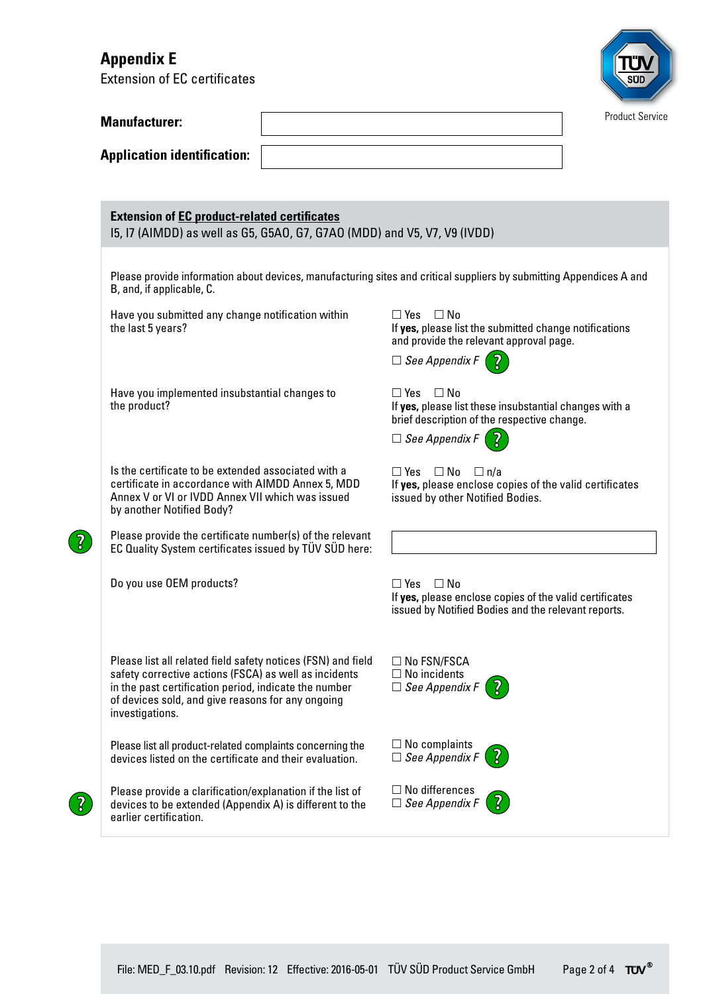# **Appendix E**

Extension of EC certificates



| <b>Manufacturer:</b>                                                                                                                                                                                                                                   | <b>Product Service</b>                                                                                                                 |  |
|--------------------------------------------------------------------------------------------------------------------------------------------------------------------------------------------------------------------------------------------------------|----------------------------------------------------------------------------------------------------------------------------------------|--|
| <b>Application identification:</b>                                                                                                                                                                                                                     |                                                                                                                                        |  |
| <b>Extension of EC product-related certificates</b><br>15, 17 (AIMDD) as well as G5, G5A0, G7, G7A0 (MDD) and V5, V7, V9 (IVDD)                                                                                                                        |                                                                                                                                        |  |
| B, and, if applicable, C.                                                                                                                                                                                                                              | Please provide information about devices, manufacturing sites and critical suppliers by submitting Appendices A and                    |  |
| Have you submitted any change notification within<br>the last 5 years?                                                                                                                                                                                 | $\Box$ Yes $\Box$ No<br>If yes, please list the submitted change notifications<br>and provide the relevant approval page.              |  |
|                                                                                                                                                                                                                                                        | $\Box$ See Appendix F                                                                                                                  |  |
| Have you implemented insubstantial changes to<br>the product?                                                                                                                                                                                          | $\Box$ Yes<br>⊟ No<br>If yes, please list these insubstantial changes with a<br>brief description of the respective change.            |  |
|                                                                                                                                                                                                                                                        | $\Box$ See Appendix F (                                                                                                                |  |
| Is the certificate to be extended associated with a<br>certificate in accordance with AIMDD Annex 5, MDD<br>Annex V or VI or IVDD Annex VII which was issued<br>by another Notified Body?                                                              | $\Box$ Yes $\Box$ No $\Box$ n/a<br>If yes, please enclose copies of the valid certificates<br>issued by other Notified Bodies.         |  |
| Please provide the certificate number(s) of the relevant<br>EC Quality System certificates issued by TÜV SÜD here:                                                                                                                                     |                                                                                                                                        |  |
| Do you use OEM products?                                                                                                                                                                                                                               | $\Box$ Yes $\Box$ No<br>If yes, please enclose copies of the valid certificates<br>issued by Notified Bodies and the relevant reports. |  |
| Please list all related field safety notices (FSN) and field<br>safety corrective actions (FSCA) as well as incidents<br>in the past certification period, indicate the number<br>of devices sold, and give reasons for any ongoing<br>investigations. | $\Box$ No FSN/FSCA<br>$\Box$ No incidents<br>$\Box$ See Appendix F                                                                     |  |
| Please list all product-related complaints concerning the<br>devices listed on the certificate and their evaluation.                                                                                                                                   | $\Box$ No complaints<br>$\overline{S}$<br>$\Box$ See Appendix F                                                                        |  |
| Please provide a clarification/explanation if the list of<br>devices to be extended (Appendix A) is different to the<br>earlier certification.                                                                                                         | $\Box$ No differences<br>$\Box$ See Appendix F                                                                                         |  |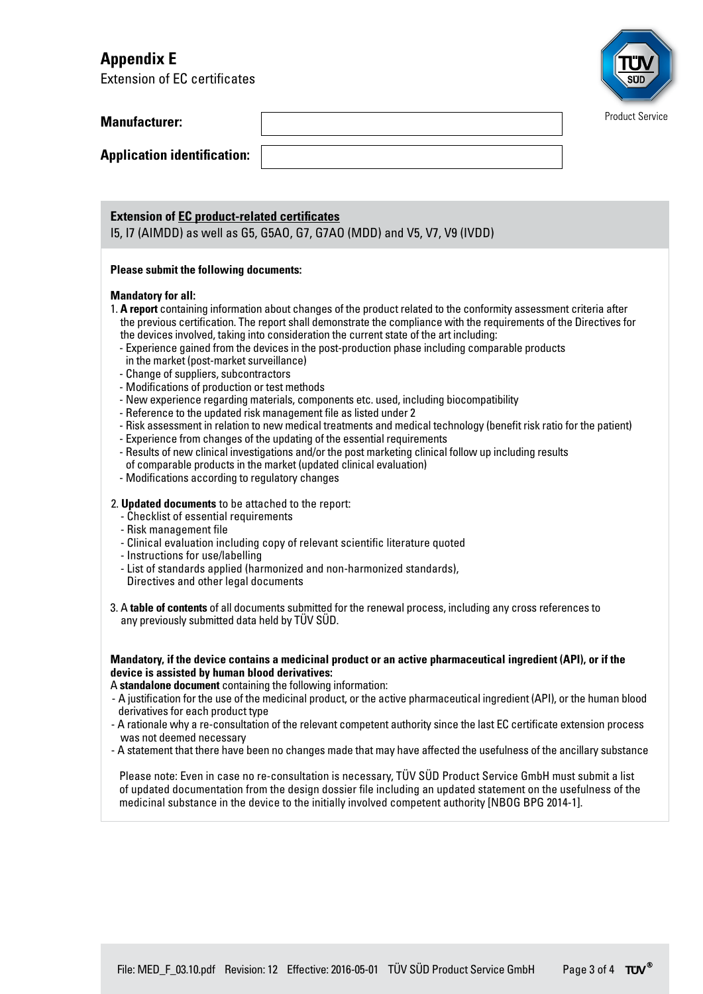# **Appendix E**

Extension of EC certificates



| <b>Manufacturer:</b> |  |
|----------------------|--|
|----------------------|--|

**Application identification:** 

## **Extension of EC product-related certificates**

I5, I7 (AIMDD) as well as G5, G5AO, G7, G7AO (MDD) and V5, V7, V9 (IVDD)

### **Please submit the following documents:**

#### **Mandatory for all:**

- 1. **A report** containing information about changes of the product related to the conformity assessment criteria after the previous certification. The report shall demonstrate the compliance with the requirements of the Directives for the devices involved, taking into consideration the current state of the art including:
	- Experience gained from the devices in the post-production phase including comparable products in the market (post-market surveillance)
	- Change of suppliers, subcontractors
	- Modifications of production or test methods
	- New experience regarding materials, components etc. used, including biocompatibility
	- Reference to the updated risk management file as listed under 2
	- Risk assessment in relation to new medical treatments and medical technology (benefit risk ratio for the patient)
	- Experience from changes of the updating of the essential requirements
	- Results of new clinical investigations and/or the post marketing clinical follow up including results of comparable products in the market (updated clinical evaluation)
	- Modifications according to regulatory changes

### 2. **Updated documents** to be attached to the report:

- Checklist of essential requirements
- Risk management file
- Clinical evaluation including copy of relevant scientific literature quoted
- Instructions for use/labelling
- List of standards applied (harmonized and non-harmonized standards), Directives and other legal documents
- 3. A **table of contents** of all documents submitted for the renewal process, including any cross references to any previously submitted data held by TÜV SÜD.

**Mandatory, if the device contains a medicinal product or an active pharmaceutical ingredient (API), or if the device is assisted by human blood derivatives:** 

A **standalone document** containing the following information:

- A justification for the use of the medicinal product, or the active pharmaceutical ingredient (API), or the human blood derivatives for each product type
- A rationale why a re-consultation of the relevant competent authority since the last EC certificate extension process was not deemed necessary
- A statement that there have been no changes made that may have affected the usefulness of the ancillary substance

Please note: Even in case no re-consultation is necessary, TÜV SÜD Product Service GmbH must submit a list of updated documentation from the design dossier file including an updated statement on the usefulness of the medicinal substance in the device to the initially involved competent authority [NBOG BPG 2014-1].